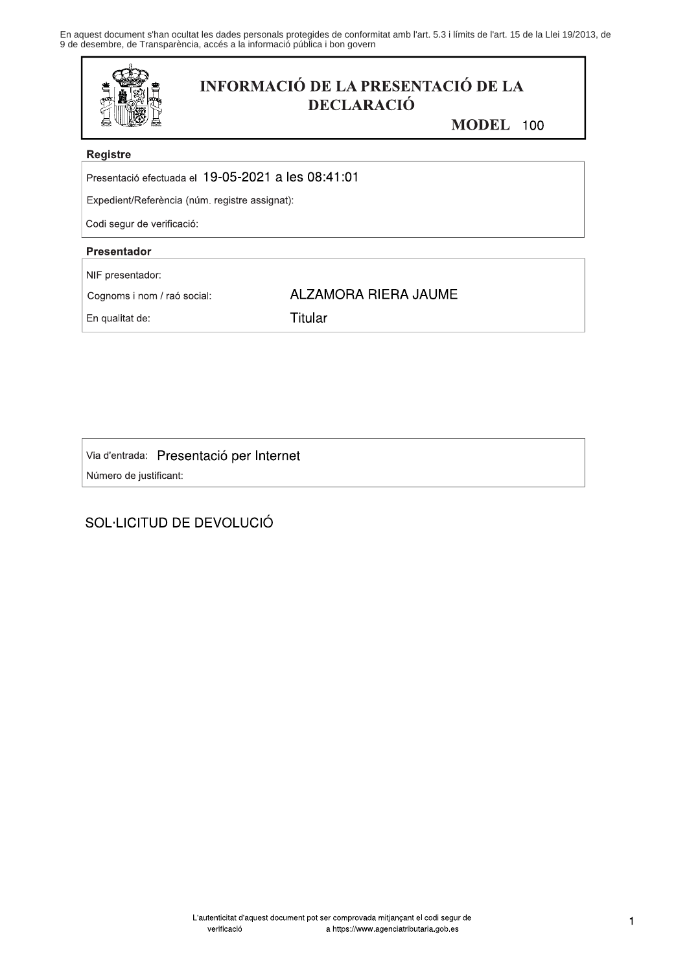En aquest document s'han ocultat les dades personals protegides de conformitat amb l'art. 5.3 i límits de l'art. 15 de la Llei 19/2013, de<br>9 de desembre, de Transparència, accés a la informació pública i bon govern



# **INFORMACIÓ DE LA PRESENTACIÓ DE LA DECLARACIÓ**

**ALZAMORA RIERA JAUME** 

MODEL 100

### **Registre**

Presentació efectuada el 19-05-2021 a les 08:41:01

Expedient/Referència (núm. registre assignat):

Codi segur de verificació:

## Presentador

NIF presentador:

Cognoms i nom / raó social:

En qualitat de:

**Titular** 

Via d'entrada: Presentació per Internet Número de justificant:

# SOL·LICITUD DE DEVOLUCIÓ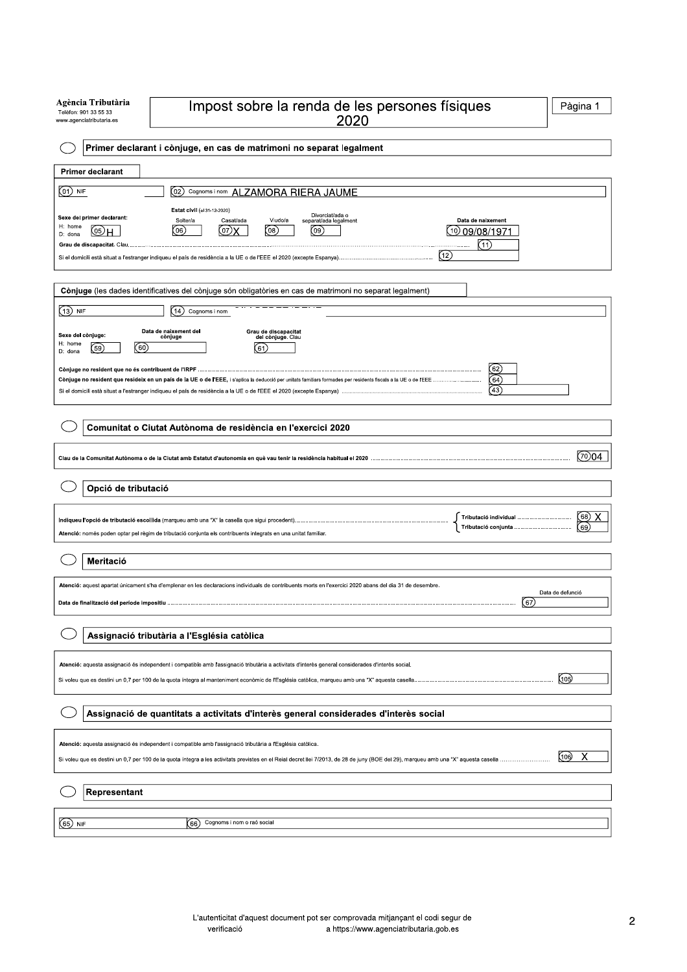| Agència Tributària<br>Impost sobre la renda de les persones físiques<br>Telèfon: 901 33 55 33<br>2020<br>www.agenciatributaria.es                                                                                                                                                                                                                                                                                                                               | Pàgina 1                                           |  |  |  |  |
|-----------------------------------------------------------------------------------------------------------------------------------------------------------------------------------------------------------------------------------------------------------------------------------------------------------------------------------------------------------------------------------------------------------------------------------------------------------------|----------------------------------------------------|--|--|--|--|
| Primer declarant i cònjuge, en cas de matrimoni no separat legalment                                                                                                                                                                                                                                                                                                                                                                                            |                                                    |  |  |  |  |
| <b>Primer declarant</b>                                                                                                                                                                                                                                                                                                                                                                                                                                         |                                                    |  |  |  |  |
| $(01)$ NIF<br>Cognoms i nom ALZAMORA RIERA JAUME<br>$_{(02)}$                                                                                                                                                                                                                                                                                                                                                                                                   |                                                    |  |  |  |  |
| Estat civil (el 31-12-2020)<br>Divorciat/ada o<br>Sexe del primer declarant:<br>Solter/a<br>Casat/ada<br>Viudo/a<br>separat/ada legalment<br>Data de naixement<br>H: home<br>(06)<br>(07)<br>(08)<br>[09]<br>(10)<br>(دق)н<br>09/08/197<br>D: dona<br>(11)<br>.<br>(12)                                                                                                                                                                                         |                                                    |  |  |  |  |
| Cònjuge (les dades identificatives del cònjuge són obligatòries en cas de matrimoni no separat legalment)                                                                                                                                                                                                                                                                                                                                                       |                                                    |  |  |  |  |
| (13) NIF<br>(14)<br>Cognoms i nom                                                                                                                                                                                                                                                                                                                                                                                                                               |                                                    |  |  |  |  |
| Data de naixement del<br>Grau de discapacitat<br>del cònjuge. Clau<br>Sexe del cònjuge:<br>cònjuge<br>H: home<br>(60)<br>59<br>(61)<br>D: dona<br>62<br>(64)<br>Conjuge no resident que resideix en un país de la UE o de l'EEE, i s'aplica la deducció per unitats familiars formades per residents fiscals a la UE o de l'EEE<br>(43)<br>Si el domicili està situat a l'estranger indiqueu el país de residència a la UE o de l'EEE el 2020 (excepte Espanya) |                                                    |  |  |  |  |
| Comunitat o Ciutat Autònoma de residència en l'exercici 2020                                                                                                                                                                                                                                                                                                                                                                                                    |                                                    |  |  |  |  |
|                                                                                                                                                                                                                                                                                                                                                                                                                                                                 | (70)04                                             |  |  |  |  |
| Opció de tributació                                                                                                                                                                                                                                                                                                                                                                                                                                             |                                                    |  |  |  |  |
| Atenció: només poden optar pel règim de tributació conjunta els contribuents integrats en una unitat familiar.                                                                                                                                                                                                                                                                                                                                                  | $\overline{\textcircled{\scriptsize{68}}}$<br>(69) |  |  |  |  |
| Meritació                                                                                                                                                                                                                                                                                                                                                                                                                                                       |                                                    |  |  |  |  |
| Atenció: aquest apartat únicament s'ha d'emplenar en les declaracions individuals de contribuents morts en l'exercici 2020 abans del dia 31 de desembre.<br>Data de defunció<br>(67)                                                                                                                                                                                                                                                                            |                                                    |  |  |  |  |
| Assignació tributària a l'Església catòlica                                                                                                                                                                                                                                                                                                                                                                                                                     |                                                    |  |  |  |  |
| Atenció: aquesta assignació és independent i compatible amb l'assignació tributària a activitats d'interès general considerades d'interès social.<br>(105)<br>Si voleu que es destini un 0,7 per 100 de la quota íntegra al manteniment econòmic de l'Església catòlica, marqueu amb una "X" aquesta casella.                                                                                                                                                   |                                                    |  |  |  |  |
| Assignació de quantitats a activitats d'interès general considerades d'interès social                                                                                                                                                                                                                                                                                                                                                                           |                                                    |  |  |  |  |
| Atenció: aquesta assignació és independent i compatible amb l'assignació tributària a l'Església catòlica.<br>Χ<br>(106)<br>Si voleu que es destini un 0,7 per 100 de la quota íntegra a les activitats previstes en el Reial decret llei 7/2013, de 28 de juny (BOE del 29), marqueu amb una "X" aquesta casella                                                                                                                                               |                                                    |  |  |  |  |
| Representant                                                                                                                                                                                                                                                                                                                                                                                                                                                    |                                                    |  |  |  |  |
| Cognoms i nom o raó social<br>(65) NIF<br>(66)                                                                                                                                                                                                                                                                                                                                                                                                                  |                                                    |  |  |  |  |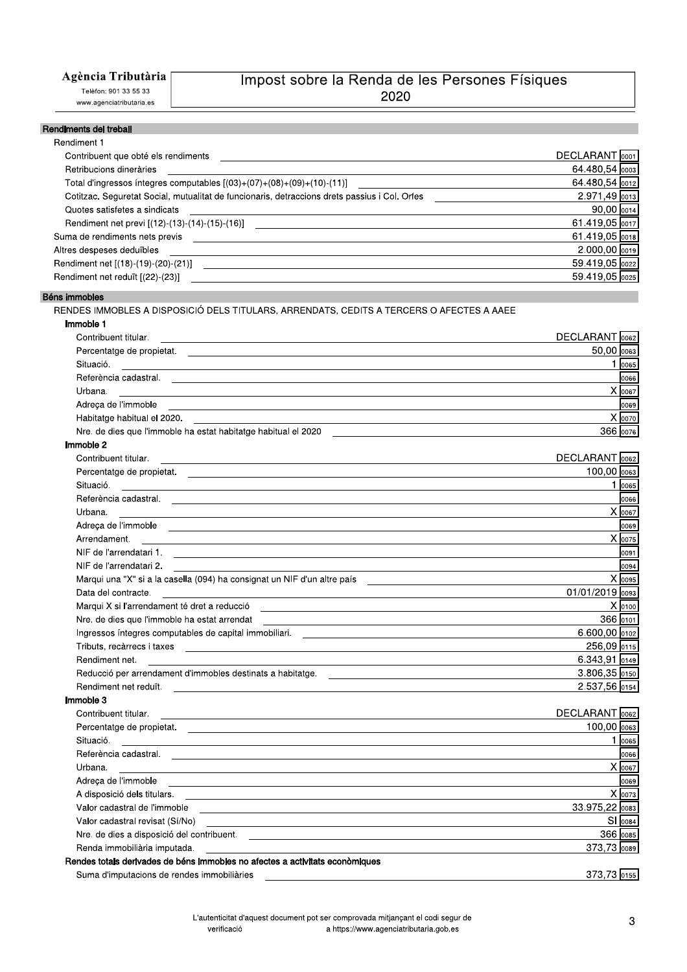### Agència Tributària

Telèfon: 901 33 55 33 www.agenciatributaria.es

## Impost sobre la Renda de les Persones Físiques 2020

#### Rendiments del treball

| Rendiment 1                                                                                                                                                                                                                                                   |                         |
|---------------------------------------------------------------------------------------------------------------------------------------------------------------------------------------------------------------------------------------------------------------|-------------------------|
| Contribuent que obté els rendiments                                                                                                                                                                                                                           | DECLARANT 0001          |
| Retribucions dineràries                                                                                                                                                                                                                                       | 64.480,54 0003          |
| Total d'ingressos íntegres computables $[(03)+(07)+(08)+(09)+(10)-(11)]$                                                                                                                                                                                      | 64.480,54 0012          |
| Cotitzac. Seguretat Social, mutualitat de funcionaris, detraccions drets passius i Col. Orfes ________________                                                                                                                                                | 2.971,49 0013           |
| Quotes satisfetes a sindicats                                                                                                                                                                                                                                 | 90,00 0014              |
|                                                                                                                                                                                                                                                               | 61.419,05 0017          |
| Suma de rendiments nets previs<br><u> Alexandria de la contrada de la contrada de la contrada de la contrada de la contrada de la contrada de la c</u>                                                                                                        | 61.419,05 0018          |
| Altres despeses deduïbles<br><u> 1989 - Johann Stoff, amerikansk politiker (d. 1989)</u>                                                                                                                                                                      | $2.000,00$ $0019$       |
|                                                                                                                                                                                                                                                               | 59.419,05 0022          |
|                                                                                                                                                                                                                                                               | 59.419,05 0025          |
| Béns immobles                                                                                                                                                                                                                                                 |                         |
| RENDES IMMOBLES A DISPOSICIÓ DELS TITULARS, ARRENDATS, CEDITS A TERCERS O AFECTES A AAEE                                                                                                                                                                      |                         |
| Immoble 1                                                                                                                                                                                                                                                     |                         |
| Contribuent titular.                                                                                                                                                                                                                                          | DECLARANT 0062          |
|                                                                                                                                                                                                                                                               | 50,00 0063              |
| Situació.                                                                                                                                                                                                                                                     | 1 0065                  |
| Referència cadastral. <u>Communications de la contrada de la contrada de la contrada de la contrada de la contra</u>                                                                                                                                          | 0066                    |
| Urbana.                                                                                                                                                                                                                                                       | $X$ 0067                |
| <u> 1989 - Johann Stoff, amerikansk politiker (* 1908)</u>                                                                                                                                                                                                    | 0069                    |
| Adreça de l'immoble est al construction de la construction de la construction de la construction de la construction de la construction de la construction de la construction de la construction de la construction de la const<br>Habitatge habitual el 2020. | $X$ 0070                |
| Nre. de dies que l'immoble ha estat habitatge habitual el 2020                                                                                                                                                                                                | 366 0076                |
| Immoble 2                                                                                                                                                                                                                                                     |                         |
| Contribuent titular.                                                                                                                                                                                                                                          | DECLARANT 0062          |
| the control of the control of the control of the control of the control of the control of the control of the control of the control of the control of the control of the control of the control of the control of the control                                 | $100,00$ $\sqrt{0.063}$ |
| Percentatge de propietat.<br>Situació.                                                                                                                                                                                                                        | 1 0065                  |
|                                                                                                                                                                                                                                                               |                         |
|                                                                                                                                                                                                                                                               | 0066<br>$X$ 0067        |
| Urbana.<br>and the control of the control of the control of the control of the control of the control of the control of the                                                                                                                                   |                         |
| Adreça de l'immoble est en entre la construction de la construction de la construction de la construction de l                                                                                                                                                | 0069                    |
| Arrendament.                                                                                                                                                                                                                                                  | $X$ <sub>0075</sub>     |
| NIF de l'arrendatari 1.                                                                                                                                                                                                                                       | 0091                    |
| NIF de l'arrendatari 2.                                                                                                                                                                                                                                       | 0094                    |
| Marqui una "X" si a la casella (094) ha consignat un NIF d'un altre país                                                                                                                                                                                      | $X$ 0095                |
| Data del contracte.<br>the control of the control of the control of the control of the control of                                                                                                                                                             | 01/01/2019 0093         |
| Marqui X si l'arrendament té dret a reducció<br>the contract of the contract of the contract of the contract of the contract of the contract of the contract of                                                                                               | X 0100                  |
| Nre. de dies que l'immoble ha estat arrendat                                                                                                                                                                                                                  | 366 0101                |
| Ingressos íntegres computables de capital immobiliari.<br><u> 1989 - John Harry Harry Harry Harry Harry Harry Harry Harry Harry Harry Harry Harry Harry Harry Harry Harry H</u>                                                                               | $6.600,00$ 0102         |
| Tributs, recàrrecs i taxes                                                                                                                                                                                                                                    | 256,09 0115             |
| Rendiment net.                                                                                                                                                                                                                                                | 6.343,91 0149           |
|                                                                                                                                                                                                                                                               | $3.806,35$ 0150         |
| Rendiment net reduït.                                                                                                                                                                                                                                         | 2.537,56 0154           |
| Immoble 3                                                                                                                                                                                                                                                     |                         |
| Contribuent titular.                                                                                                                                                                                                                                          | DECLARANT 0062          |
|                                                                                                                                                                                                                                                               | 100,00 0063             |
| Situació.                                                                                                                                                                                                                                                     | 1 0065                  |
| Referència cadastral.                                                                                                                                                                                                                                         | 0066                    |
| Urbana.                                                                                                                                                                                                                                                       | $X$ 0067                |
| Adreça de l'immoble en el proponent de la proponent de la proponent de la proponent de la proponent de la pro                                                                                                                                                 | 0069                    |
|                                                                                                                                                                                                                                                               | $X$ 0073                |
| Valor cadastral de l'immoble                                                                                                                                                                                                                                  | 33.975,22 0083          |
| Valor cadastral revisat (Sí/No)                                                                                                                                                                                                                               | SI 0084                 |
|                                                                                                                                                                                                                                                               | 366 0085                |
|                                                                                                                                                                                                                                                               |                         |

Suma d'imputacions de rendes immobiliàries

373,73 0155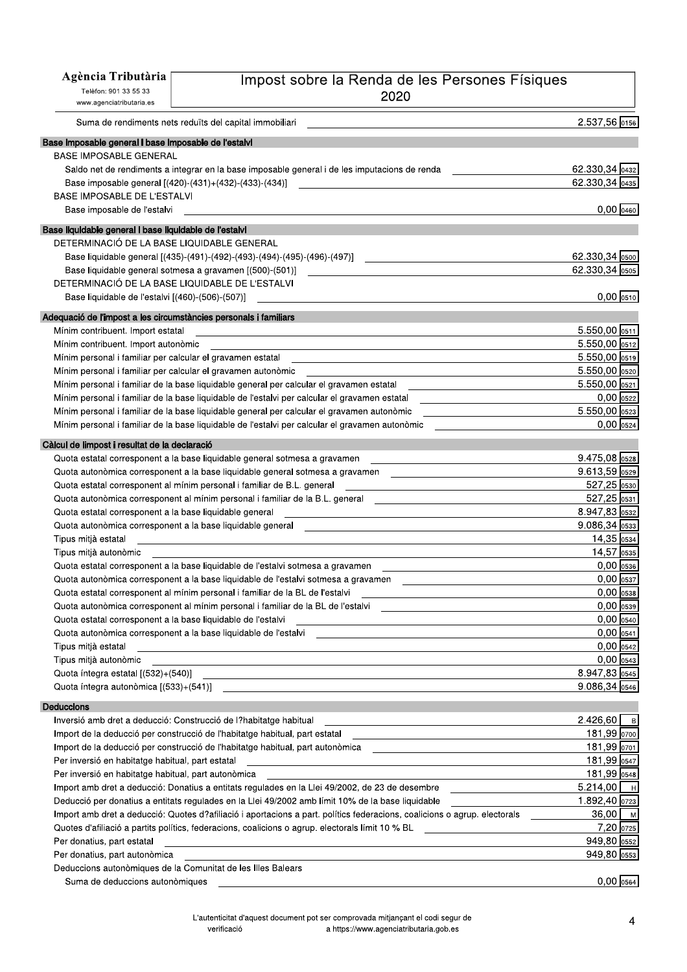| Agència Tributària                                               | Impost sobre la Renda de les Persones Físiques                                                                                                                                                                                                                                              |                              |
|------------------------------------------------------------------|---------------------------------------------------------------------------------------------------------------------------------------------------------------------------------------------------------------------------------------------------------------------------------------------|------------------------------|
| Telèfon: 901 33 55 33                                            |                                                                                                                                                                                                                                                                                             |                              |
| www.agenciatributaria.es                                         | 2020                                                                                                                                                                                                                                                                                        |                              |
|                                                                  | Suma de rendiments nets reduïts del capital immobiliari                                                                                                                                                                                                                                     | 2.537,56 0156                |
|                                                                  |                                                                                                                                                                                                                                                                                             |                              |
| Base imposable general i base imposable de l'estalvi             |                                                                                                                                                                                                                                                                                             |                              |
| <b>BASE IMPOSABLE GENERAL</b>                                    |                                                                                                                                                                                                                                                                                             |                              |
|                                                                  | Saldo net de rendiments a integrar en la base imposable general i de les imputacions de renda                                                                                                                                                                                               | 62.330,34 0432               |
|                                                                  | Base imposable general [(420)-(431)+(432)-(433)-(434)]                                                                                                                                                                                                                                      | 62.330,34 0435               |
| <b>BASE IMPOSABLE DE L'ESTALVI</b>                               |                                                                                                                                                                                                                                                                                             |                              |
| Base imposable de l'estalvi                                      |                                                                                                                                                                                                                                                                                             | $0,00$ $0460$                |
| Base liquidable general i base liquidable de l'estalvi           |                                                                                                                                                                                                                                                                                             |                              |
| DETERMINACIÓ DE LA BASE LIQUIDABLE GENERAL                       |                                                                                                                                                                                                                                                                                             |                              |
|                                                                  | Base liquidable general [(435)-(491)-(492)-(493)-(494)-(495)-(496)-(497)]                                                                                                                                                                                                                   | 62.330,34 0500               |
|                                                                  | Base liquidable general sotmesa a gravamen [(500)-(501)]                                                                                                                                                                                                                                    | 62.330,34 0505               |
|                                                                  | DETERMINACIÓ DE LA BASE LIQUIDABLE DE L'ESTALVI                                                                                                                                                                                                                                             |                              |
| Base liquidable de l'estalvi [(460)-(506)-(507)]                 |                                                                                                                                                                                                                                                                                             | $0,00$  0510                 |
| Adequació de l'impost a les circumstàncies personals i familiars |                                                                                                                                                                                                                                                                                             |                              |
| Mínim contribuent. Import estatal                                |                                                                                                                                                                                                                                                                                             | 5.550,00 0511                |
| Mínim contribuent. Import autonòmic                              | the control of the control of the control of the control of the control of the control of the control of the control of the control of the control of the control of the control of the control of the control of the control                                                               | 5.550,00 0512                |
| Mínim personal i familiar per calcular el gravamen estatal       |                                                                                                                                                                                                                                                                                             | 5.550,00 0519                |
|                                                                  | Mínim personal i familiar per calcular el gravamen autonòmic                                                                                                                                                                                                                                | 5.550,00 0520                |
|                                                                  | Mínim personal i familiar de la base liquidable general per calcular el gravamen estatal                                                                                                                                                                                                    | $5.550,00$ 0521              |
|                                                                  | Mínim personal i familiar de la base liquidable de l'estalvi per calcular el gravamen estatal                                                                                                                                                                                               | $0,00$ 0522                  |
|                                                                  | Mínim personal i familiar de la base liquidable general per calcular el gravamen autonòmic                                                                                                                                                                                                  | 5.550,00 0523                |
|                                                                  | Mínim personal i familiar de la base liquidable de l'estalvi per calcular el gravamen autonòmic                                                                                                                                                                                             | $0,00$ 0524                  |
|                                                                  |                                                                                                                                                                                                                                                                                             |                              |
| Càlcul de limpost i resultat de la declaració                    |                                                                                                                                                                                                                                                                                             |                              |
|                                                                  | Quota estatal corresponent a la base liquidable general sotmesa a gravamen                                                                                                                                                                                                                  | 9.475,08 0528                |
|                                                                  | Quota autonòmica corresponent a la base liquidable general sotmesa a gravamen                                                                                                                                                                                                               | 9.613,59 0529                |
|                                                                  | Quota estatal corresponent al mínim personal i familiar de B.L. general                                                                                                                                                                                                                     | 527,25 0530                  |
|                                                                  | Quota autonòmica corresponent al mínim personal i familiar de la B.L. general                                                                                                                                                                                                               | 527,25 0531                  |
| Quota estatal corresponent a la base liquidable general          |                                                                                                                                                                                                                                                                                             | 8.947,83 0532                |
|                                                                  | Quota autonòmica corresponent a la base liquidable general<br>the control of the control of the control of the control of the control of the control of the control of the control of the control of the control of the control of the control of the control of the control of the control | $9.086,34$ 0533              |
| Tipus mitjà estatal                                              |                                                                                                                                                                                                                                                                                             | 14,35 0534                   |
| Tipus mitjà autonòmic                                            |                                                                                                                                                                                                                                                                                             | 14,57 0535                   |
|                                                                  | Quota estatal corresponent a la base liquidable de l'estalvi sotmesa a gravamen                                                                                                                                                                                                             | $0,00$ 0536                  |
|                                                                  | Quota autonòmica corresponent a la base liquidable de l'estalvi sotmesa a gravamen                                                                                                                                                                                                          | $0,00$ 0537                  |
|                                                                  | Quota estatal corresponent al mínim personal i familiar de la BL de l'estalvi                                                                                                                                                                                                               | $0,00$ $0538$                |
|                                                                  | Quota autonòmica corresponent al mínim personal i familiar de la BL de l'estalvi                                                                                                                                                                                                            | $0,00$ 0539                  |
| Quota estatal corresponent a la base liquidable de l'estalvi     |                                                                                                                                                                                                                                                                                             | $0,00$ 0540                  |
|                                                                  | Quota autonòmica corresponent a la base liquidable de l'estalvi                                                                                                                                                                                                                             | $0,00$ 0541                  |
| Tipus mitjà estatal                                              | <u> 1989 - Johann John Stone, markin sanadi bashkan asl asl asl asl asl and the same of the same of the same of the same of the same of the same of the same of the same of the same of the same of the same of the same of the </u>                                                        | $0,00$ $0542$<br>$0,00$ 0543 |
| Tipus mitjà autonòmic                                            |                                                                                                                                                                                                                                                                                             |                              |
|                                                                  |                                                                                                                                                                                                                                                                                             | 8.947,83 0545                |
|                                                                  |                                                                                                                                                                                                                                                                                             | $9.086,34$ 0546              |
| Deduccions                                                       |                                                                                                                                                                                                                                                                                             |                              |
|                                                                  | Inversió amb dret a deducció: Construcció de l?habitatge habitual                                                                                                                                                                                                                           | $2.426,60$   B               |
|                                                                  | Import de la deducció per construcció de l'habitatge habitual, part estatal<br>the control of the control of the control of the control of the control of the control of                                                                                                                    | 181,99 0700                  |
|                                                                  | Import de la deducció per construcció de l'habitatge habitual, part autonòmica _______________________________                                                                                                                                                                              | 181,99 0701                  |
| Per inversió en habitatge habitual, part estatal                 | <u> 1989 - Johann Barbara, marka a shekara ta 1989 - An tsara tsa 1989 - An tsara tsa 1989 - An tsa 1989 - An tsa</u>                                                                                                                                                                       | 181,99 0547                  |
| Per inversió en habitatge habitual, part autonòmica              |                                                                                                                                                                                                                                                                                             | 181,99 0548                  |
|                                                                  | Import amb dret a deducció: Donatius a entitats regulades en la Llei 49/2002, de 23 de desembre                                                                                                                                                                                             | $5.214,00$ $H$               |
|                                                                  | Deducció per donatius a entitats regulades en la Llei 49/2002 amb límit 10% de la base liquidable                                                                                                                                                                                           | 1.892,40 0723                |
|                                                                  | Import amb dret a deducció: Quotes d?afiliació i aportacions a part. polítics federacions, coalicions o agrup. electorals                                                                                                                                                                   | $36,00$   M                  |
|                                                                  | Quotes d'afiliació a partits polítics, federacions, coalicions o agrup. electorals límit 10 % BL                                                                                                                                                                                            | 7,20 0725                    |
| Per donatius, part estatal                                       |                                                                                                                                                                                                                                                                                             | 949,80 0552                  |
| Per donatius, part autonòmica                                    |                                                                                                                                                                                                                                                                                             | $949,80$ 0553                |

Per donatius, part autonòmica

Deduccions autonòmiques de la Comunitat de les Illes Balears

Suma de deduccions autonòmiques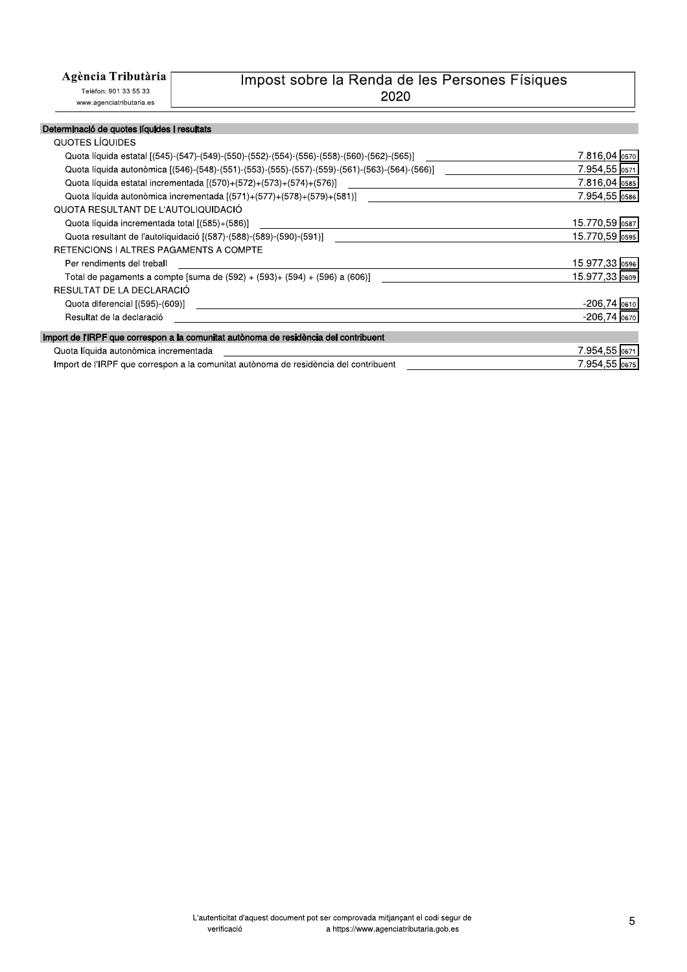### Agència Tributària

Telèfon: 901 33 55 33 www.agenciatributaria.es

## Impost sobre la Renda de les Persones Físiques 2020

#### Determinació de quotes líquides i resultats

| QUOTES LIQUIDES                                                                              |                  |
|----------------------------------------------------------------------------------------------|------------------|
| Quota líquida estatal [(545)-(547)-(549)-(550)-(552)-(554)-(556)-(558)-(560)-(562)-(565)]    | 7.816,04 0570    |
| Quota líquida autonòmica [(546)-(548)-(551)-(553)-(555)-(557)-(559)-(561)-(563)-(564)-(566)] | 7.954,55 0571    |
| Quota líquida estatal incrementada [(570)+(572)+(573)+(574)+(576)]                           | 7.816,04 0585    |
| Quota líquida autonòmica incrementada [(571)+(577)+(578)+(579)+(581)]                        | 7.954,55 0586    |
| QUOTA RESULTANT DE L'AUTOLIQUIDACIÓ                                                          |                  |
| Quota líquida incrementada total [(585)+(586)]                                               | 15.770,59 0587   |
| Quota resultant de l'autoliquidació ((587)-(588)-(589)-(590)-(591)]                          | 15.770,59 0595   |
| RETENCIONS I ALTRES PAGAMENTS A COMPTE                                                       |                  |
| Per rendiments del treball                                                                   | 15.977,33 0596   |
| Total de pagaments a compte [suma de $(592) + (593) + (594) + (596)$ a $(606)$ ]             | 15.977,33 0609   |
| RESULTAT DE LA DECLARACIÓ                                                                    |                  |
| Quota diferencial [(595)-(609)]                                                              | $-206,74$ 0610   |
| Resultat de la declaració                                                                    | $-206.74$ $0670$ |
| Import de l'IRPF que correspon a la comunitat autònoma de residència del contribuent         |                  |
|                                                                                              |                  |
| Quota líquida autonòmica incrementada                                                        | 7.954,55 0671    |
| Import de l'IRPF que correspon a la comunitat autònoma de residència del contribuent         | 7.954,55 0675    |